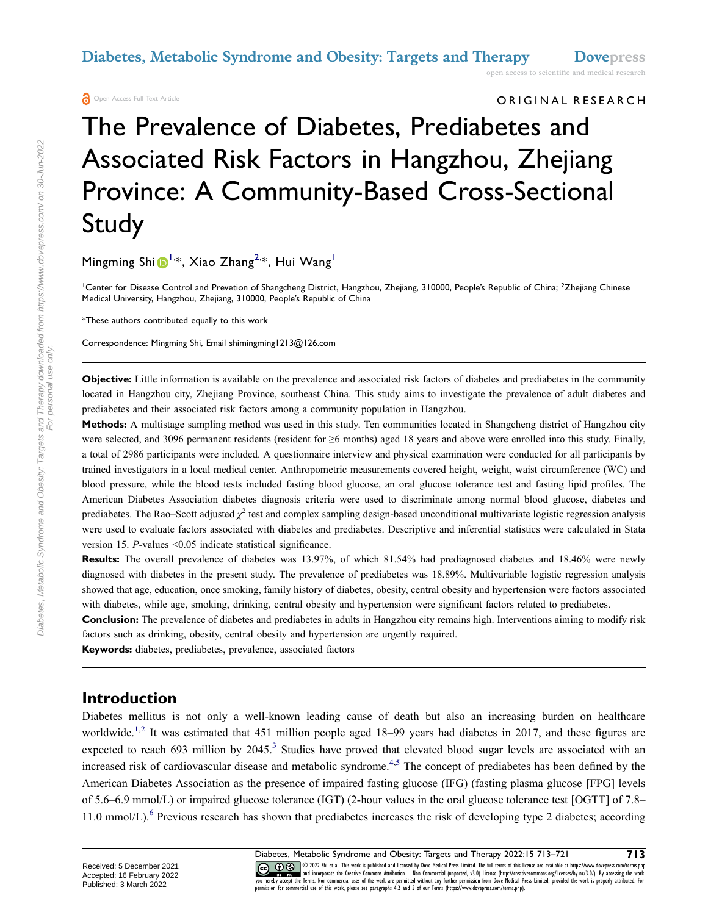**A** Open Access Full Text Article

ORIGINAL RESEARCH

# The Prevalence of Diabetes, Prediabetes and Associated Risk Factors in Hangzhou, Zhejiang Province: A Community-Based Cross-Sectional Study

Mingming Shi [1](#page-0-0)<sup>1,\*</sup>, Xiao Zhang<sup>[2,](#page-0-0)\*</sup>, Hui Wang<sup>1</sup>

<span id="page-0-0"></span><sup>1</sup>Center for Disease Control and Prevetion of Shangcheng District, Hangzhou, Zhejiang, 310000, People's Republic of China; <sup>2</sup>Zhejiang Chinese Medical University, Hangzhou, Zhejiang, 310000, People's Republic of China

\*These authors contributed equally to this work

Correspondence: Mingming Shi, Email shimingming1213@126.com

**Objective:** Little information is available on the prevalence and associated risk factors of diabetes and prediabetes in the community located in Hangzhou city, Zhejiang Province, southeast China. This study aims to investigate the prevalence of adult diabetes and prediabetes and their associated risk factors among a community population in Hangzhou.

**Methods:** A multistage sampling method was used in this study. Ten communities located in Shangcheng district of Hangzhou city were selected, and 3096 permanent residents (resident for ≥6 months) aged 18 years and above were enrolled into this study. Finally, a total of 2986 participants were included. A questionnaire interview and physical examination were conducted for all participants by trained investigators in a local medical center. Anthropometric measurements covered height, weight, waist circumference (WC) and blood pressure, while the blood tests included fasting blood glucose, an oral glucose tolerance test and fasting lipid profiles. The American Diabetes Association diabetes diagnosis criteria were used to discriminate among normal blood glucose, diabetes and prediabetes. The Rao–Scott adjusted  $\chi^2$  test and complex sampling design-based unconditional multivariate logistic regression analysis were used to evaluate factors associated with diabetes and prediabetes. Descriptive and inferential statistics were calculated in Stata version 15. *P*-values <0.05 indicate statistical significance.

**Results:** The overall prevalence of diabetes was 13.97%, of which 81.54% had prediagnosed diabetes and 18.46% were newly diagnosed with diabetes in the present study. The prevalence of prediabetes was 18.89%. Multivariable logistic regression analysis showed that age, education, once smoking, family history of diabetes, obesity, central obesity and hypertension were factors associated with diabetes, while age, smoking, drinking, central obesity and hypertension were significant factors related to prediabetes.

**Conclusion:** The prevalence of diabetes and prediabetes in adults in Hangzhou city remains high. Interventions aiming to modify risk factors such as drinking, obesity, central obesity and hypertension are urgently required.

**Keywords:** diabetes, prediabetes, prevalence, associated factors

#### **Introduction**

<span id="page-0-4"></span><span id="page-0-3"></span><span id="page-0-2"></span><span id="page-0-1"></span>Diabetes mellitus is not only a well-known leading cause of death but also an increasing burden on healthcare worldwide.<sup>[1](#page-7-0),[2](#page-7-1)</sup> It was estimated that 451 million people aged 18–99 years had diabetes in 2017, and these figures are expected to reach 69[3](#page-7-2) million by 2045.<sup>3</sup> Studies have proved that elevated blood sugar levels are associated with an increased risk of cardiovascular disease and metabolic syndrome.<sup>[4](#page-7-3)[,5](#page-7-4)</sup> The concept of prediabetes has been defined by the American Diabetes Association as the presence of impaired fasting glucose (IFG) (fasting plasma glucose [FPG] levels of 5.6–6.9 mmol/L) or impaired glucose tolerance (IGT) (2-hour values in the oral glucose tolerance test [OGTT] of 7.8– 11.0 mmol/L).<sup>6</sup> Previous research has shown that prediabetes increases the risk of developing type 2 diabetes; according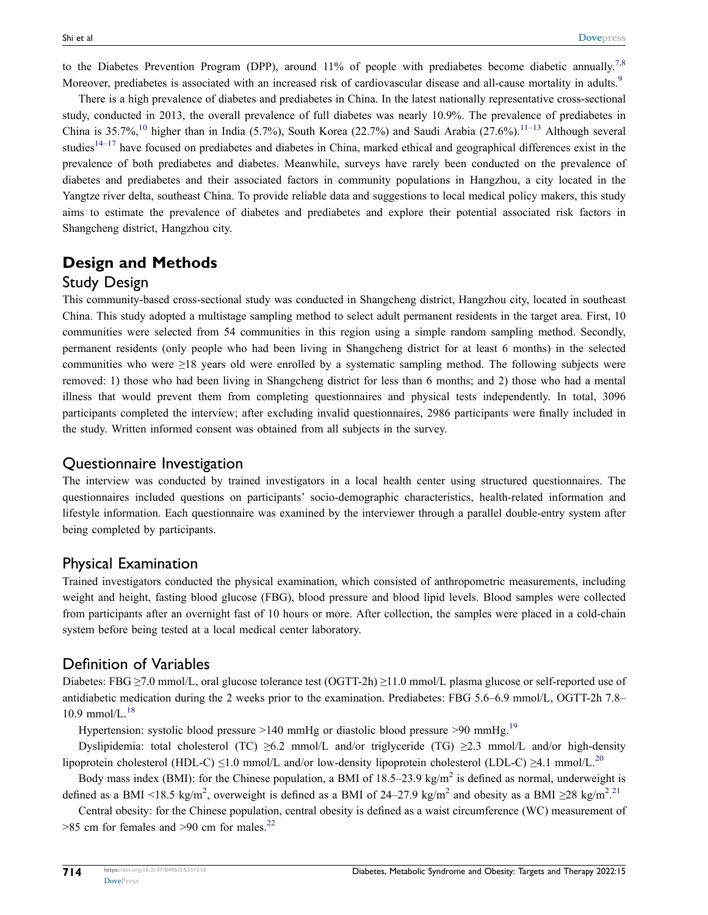<span id="page-1-1"></span><span id="page-1-0"></span>to the Diabetes Prevention Program (DPP), around 11% of people with prediabetes become diabetic annually.<sup>[7,](#page-7-6)[8](#page-7-7)</sup> Moreover, prediabetes is associated with an increased risk of cardiovascular disease and all-cause mortality in adults.<sup>[9](#page-7-8)</sup>

<span id="page-1-3"></span><span id="page-1-2"></span>There is a high prevalence of diabetes and prediabetes in China. In the latest nationally representative cross-sectional study, conducted in 2013, the overall prevalence of full diabetes was nearly 10.9%. The prevalence of prediabetes in China is 35.7%,<sup>[10](#page-7-9)</sup> higher than in India (5.7%), South Korea (22.7%) and Saudi Arabia (27.6%).<sup>[11–](#page-7-10)[13](#page-7-11)</sup> Although several studies<sup>[14–](#page-7-12)[17](#page-7-13)</sup> have focused on prediabetes and diabetes in China, marked ethical and geographical differences exist in the prevalence of both prediabetes and diabetes. Meanwhile, surveys have rarely been conducted on the prevalence of diabetes and prediabetes and their associated factors in community populations in Hangzhou, a city located in the Yangtze river delta, southeast China. To provide reliable data and suggestions to local medical policy makers, this study aims to estimate the prevalence of diabetes and prediabetes and explore their potential associated risk factors in Shangcheng district, Hangzhou city.

## **Design and Methods**

#### Study Design

This community-based cross-sectional study was conducted in Shangcheng district, Hangzhou city, located in southeast China. This study adopted a multistage sampling method to select adult permanent residents in the target area. First, 10 communities were selected from 54 communities in this region using a simple random sampling method. Secondly, permanent residents (only people who had been living in Shangcheng district for at least 6 months) in the selected communities who were ≥18 years old were enrolled by a systematic sampling method. The following subjects were removed: 1) those who had been living in Shangcheng district for less than 6 months; and 2) those who had a mental illness that would prevent them from completing questionnaires and physical tests independently. In total, 3096 participants completed the interview; after excluding invalid questionnaires, 2986 participants were finally included in the study. Written informed consent was obtained from all subjects in the survey.

#### Questionnaire Investigation

The interview was conducted by trained investigators in a local health center using structured questionnaires. The questionnaires included questions on participants' socio-demographic characteristics, health-related information and lifestyle information. Each questionnaire was examined by the interviewer through a parallel double-entry system after being completed by participants.

#### Physical Examination

Trained investigators conducted the physical examination, which consisted of anthropometric measurements, including weight and height, fasting blood glucose (FBG), blood pressure and blood lipid levels. Blood samples were collected from participants after an overnight fast of 10 hours or more. After collection, the samples were placed in a cold-chain system before being tested at a local medical center laboratory.

#### Definition of Variables

<span id="page-1-4"></span>Diabetes: FBG  $\geq$ 7.0 mmol/L, oral glucose tolerance test (OGTT-2h)  $\geq$ 11.0 mmol/L plasma glucose or self-reported use of antidiabetic medication during the 2 weeks prior to the examination. Prediabetes: FBG 5.6–6.9 mmol/L, OGTT-2h 7.8–  $10.9$  mmol/L $^{18}$  $^{18}$  $^{18}$ 

<span id="page-1-5"></span>Hypertension: systolic blood pressure  $>140$  mmHg or diastolic blood pressure  $>90$  mmHg.<sup>[19](#page-7-15)</sup>

<span id="page-1-6"></span>Dyslipidemia: total cholesterol (TC) ≥6.2 mmol/L and/or triglyceride (TG) ≥2.3 mmol/L and/or high-density lipoprotein cholesterol (HDL-C)  $\leq$ 1.0 mmol/L and/or low-density lipoprotein cholesterol (LDL-C)  $\geq$ 4.1 mmol/L.<sup>[20](#page-7-16)</sup>

<span id="page-1-7"></span>Body mass index (BMI): for the Chinese population, a BMI of  $18.5-23.9 \text{ kg/m}^2$  is defined as normal, underweight is defined as a BMI <18.5 kg/m<sup>2</sup>, overweight is defined as a BMI of 24–27.9 kg/m<sup>2</sup> and obesity as a BMI ≥28 kg/m<sup>2</sup>.<sup>[21](#page-7-17)</sup>

<span id="page-1-8"></span>Central obesity: for the Chinese population, central obesity is defined as a waist circumference (WC) measurement of  $>85$  cm for females and  $>90$  cm for males.<sup>[22](#page-8-0)</sup>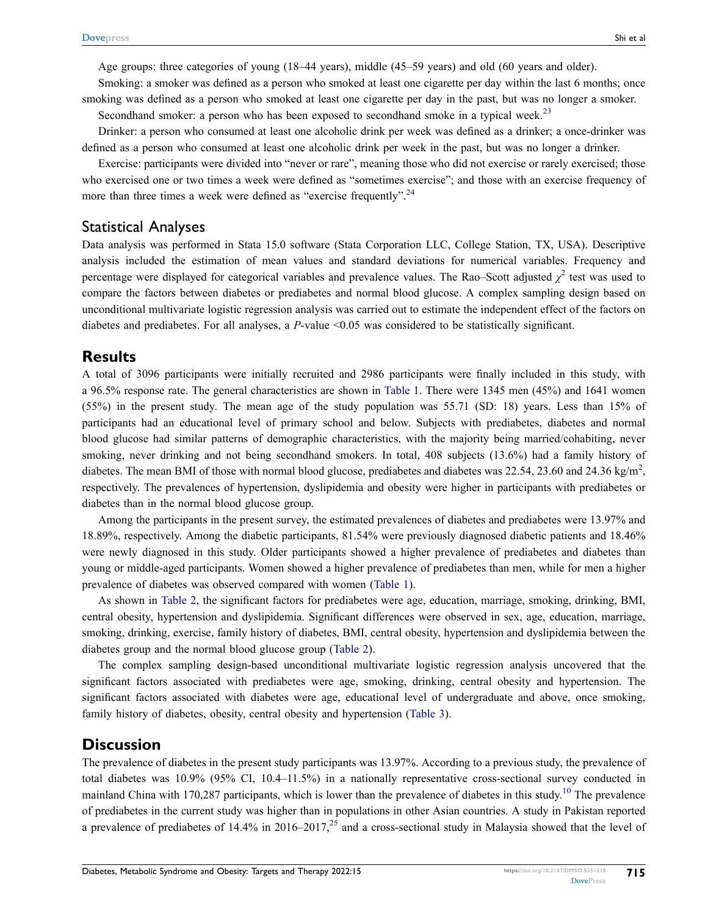Age groups: three categories of young (18–44 years), middle (45–59 years) and old (60 years and older).

Smoking: a smoker was defined as a person who smoked at least one cigarette per day within the last 6 months; once smoking was defined as a person who smoked at least one cigarette per day in the past, but was no longer a smoker.

<span id="page-2-0"></span>Secondhand smoker: a person who has been exposed to secondhand smoke in a typical week.<sup>[23](#page-8-1)</sup>

Drinker: a person who consumed at least one alcoholic drink per week was defined as a drinker; a once-drinker was defined as a person who consumed at least one alcoholic drink per week in the past, but was no longer a drinker.

<span id="page-2-1"></span>Exercise: participants were divided into "never or rare", meaning those who did not exercise or rarely exercised; those who exercised one or two times a week were defined as "sometimes exercise"; and those with an exercise frequency of more than three times a week were defined as "exercise frequently".<sup>[24](#page-8-2)</sup>

#### Statistical Analyses

Data analysis was performed in Stata 15.0 software (Stata Corporation LLC, College Station, TX, USA). Descriptive analysis included the estimation of mean values and standard deviations for numerical variables. Frequency and percentage were displayed for categorical variables and prevalence values. The Rao–Scott adjusted  $\chi^2$  test was used to compare the factors between diabetes or prediabetes and normal blood glucose. A complex sampling design based on unconditional multivariate logistic regression analysis was carried out to estimate the independent effect of the factors on diabetes and prediabetes. For all analyses, a *P*-value <0.05 was considered to be statistically significant.

#### **Results**

A total of 3096 participants were initially recruited and 2986 participants were finally included in this study, with a 96.5% response rate. The general characteristics are shown in [Table 1.](#page-3-0) There were 1345 men (45%) and 1641 women (55%) in the present study. The mean age of the study population was 55.71 (SD: 18) years. Less than 15% of participants had an educational level of primary school and below. Subjects with prediabetes, diabetes and normal blood glucose had similar patterns of demographic characteristics, with the majority being married/cohabiting, never smoking, never drinking and not being secondhand smokers. In total, 408 subjects (13.6%) had a family history of diabetes. The mean BMI of those with normal blood glucose, prediabetes and diabetes was 22.54, 23.60 and 24.36 kg/m<sup>2</sup>, respectively. The prevalences of hypertension, dyslipidemia and obesity were higher in participants with prediabetes or diabetes than in the normal blood glucose group.

Among the participants in the present survey, the estimated prevalences of diabetes and prediabetes were 13.97% and 18.89%, respectively. Among the diabetic participants, 81.54% were previously diagnosed diabetic patients and 18.46% were newly diagnosed in this study. Older participants showed a higher prevalence of prediabetes and diabetes than young or middle-aged participants. Women showed a higher prevalence of prediabetes than men, while for men a higher prevalence of diabetes was observed compared with women [\(Table 1\)](#page-3-0).

As shown in [Table 2,](#page-4-0) the significant factors for prediabetes were age, education, marriage, smoking, drinking, BMI, central obesity, hypertension and dyslipidemia. Significant differences were observed in sex, age, education, marriage, smoking, drinking, exercise, family history of diabetes, BMI, central obesity, hypertension and dyslipidemia between the diabetes group and the normal blood glucose group [\(Table 2\)](#page-4-0).

The complex sampling design-based unconditional multivariate logistic regression analysis uncovered that the significant factors associated with prediabetes were age, smoking, drinking, central obesity and hypertension. The significant factors associated with diabetes were age, educational level of undergraduate and above, once smoking, family history of diabetes, obesity, central obesity and hypertension [\(Table 3\)](#page-5-0).

#### **Discussion**

<span id="page-2-2"></span>The prevalence of diabetes in the present study participants was 13.97%. According to a previous study, the prevalence of total diabetes was 10.9% (95% CI, 10.4–11.5%) in a nationally representative cross-sectional survey conducted in mainland China with 170,287 participants, which is lower than the prevalence of diabetes in this study.<sup>[10](#page-7-9)</sup> The prevalence of prediabetes in the current study was higher than in populations in other Asian countries. A study in Pakistan reported a prevalence of prediabetes of 14.4% in 2016–2017,  $^{25}$  $^{25}$  $^{25}$  and a cross-sectional study in Malaysia showed that the level of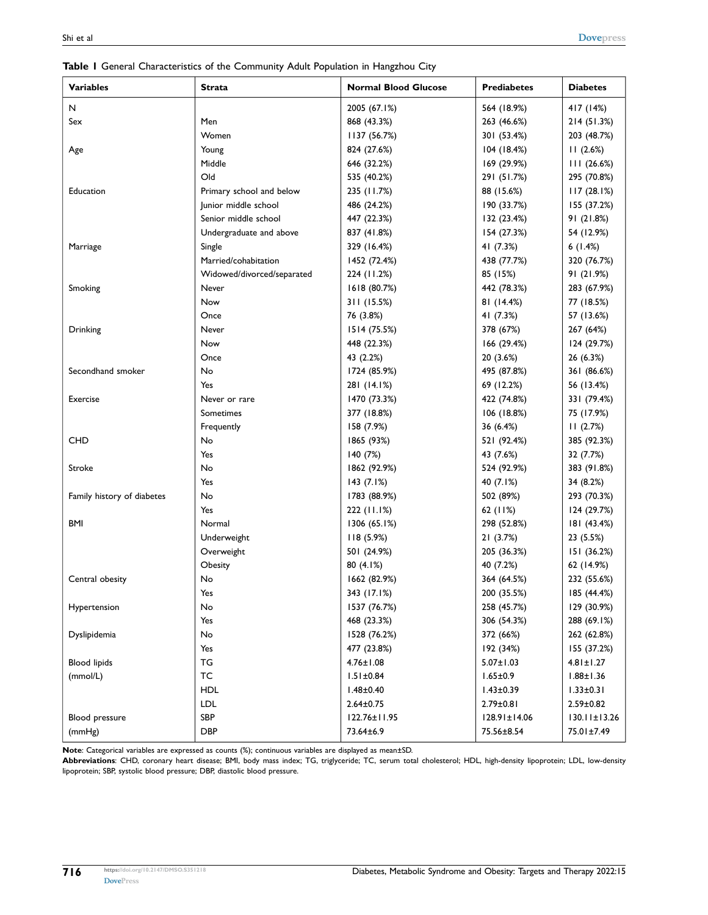| <b>Variables</b>           | <b>Strata</b>              | <b>Normal Blood Glucose</b> | <b>Prediabetes</b> | <b>Diabetes</b>    |
|----------------------------|----------------------------|-----------------------------|--------------------|--------------------|
| N                          |                            | 2005 (67.1%)                | 564 (18.9%)        | 417 (14%)          |
| Sex                        | Men                        | 868 (43.3%)                 | 263 (46.6%)        | 214 (51.3%)        |
|                            | Women                      | 1137 (56.7%)                | 301 (53.4%)        | 203 (48.7%)        |
| Age                        | Young                      | 824 (27.6%)                 | 104 (18.4%)        | 11(2.6%)           |
|                            | Middle                     | 646 (32.2%)                 | 169 (29.9%)        | 111(26.6%)         |
|                            | Old                        | 535 (40.2%)                 | 291 (51.7%)        | 295 (70.8%)        |
| Education                  | Primary school and below   | 235 (11.7%)                 | 88 (15.6%)         | 117(28.1%)         |
|                            | Junior middle school       | 486 (24.2%)                 | 190 (33.7%)        | 155 (37.2%)        |
|                            | Senior middle school       | 447 (22.3%)                 | 132 (23.4%)        | 91(21.8%)          |
|                            | Undergraduate and above    | 837 (41.8%)                 | 154 (27.3%)        | 54 (12.9%)         |
| Marriage                   | Single                     | 329 (16.4%)                 | 41 (7.3%)          | 6(1.4%)            |
|                            | Married/cohabitation       | 1452 (72.4%)                | 438 (77.7%)        | 320 (76.7%)        |
|                            | Widowed/divorced/separated | 224 (11.2%)                 | 85 (15%)           | 91 (21.9%)         |
| Smoking                    | Never                      | 1618 (80.7%)                | 442 (78.3%)        | 283 (67.9%)        |
|                            | Now                        | 311 (15.5%)                 | 81 (14.4%)         | 77 (18.5%)         |
|                            | Once                       | 76 (3.8%)                   | 41 (7.3%)          | 57 (13.6%)         |
| Drinking                   | Never                      | 1514 (75.5%)                | 378 (67%)          | 267 (64%)          |
|                            | Now                        | 448 (22.3%)                 | 166(29.4%)         | 124 (29.7%)        |
|                            | Once                       | 43 (2.2%)                   | 20 (3.6%)          | 26 (6.3%)          |
| Secondhand smoker          | No                         | 1724 (85.9%)                | 495 (87.8%)        | 361 (86.6%)        |
|                            | Yes                        | 281 (14.1%)                 | 69 (12.2%)         | 56 (13.4%)         |
| Exercise                   | Never or rare              | 1470 (73.3%)                | 422 (74.8%)        | 331 (79.4%)        |
|                            | Sometimes                  | 377 (18.8%)                 | 106 (18.8%)        | 75 (17.9%)         |
|                            | Frequently                 | 158 (7.9%)                  | 36 (6.4%)          | 11(2.7%)           |
| <b>CHD</b>                 | No                         | 1865 (93%)                  | 521 (92.4%)        | 385 (92.3%)        |
|                            | Yes                        | 140(7%)                     | 43 (7.6%)          | 32 (7.7%)          |
| Stroke                     | No                         | 1862 (92.9%)                | 524 (92.9%)        | 383 (91.8%)        |
|                            | Yes                        | 143(7.1%)                   | 40 (7.1%)          | 34 (8.2%)          |
| Family history of diabetes | No                         | 1783 (88.9%)                | 502 (89%)          | 293 (70.3%)        |
|                            | Yes                        | 222 (11.1%)                 | 62 $(11%)$         | 124 (29.7%)        |
| BMI                        | Normal                     | 1306(65.1%)                 | 298 (52.8%)        | 181 (43.4%)        |
|                            | Underweight                | 118(5.9%)                   | 21(3.7%)           | 23 (5.5%)          |
|                            | Overweight                 | 501 (24.9%)                 | 205 (36.3%)        | 151 (36.2%)        |
|                            | Obesity                    | 80 (4.1%)                   | 40 (7.2%)          | 62 (14.9%)         |
| Central obesity            | No                         | 1662 (82.9%)                | 364 (64.5%)        | 232 (55.6%)        |
|                            | Yes                        | 343 (17.1%)                 | 200 (35.5%)        | 185 (44.4%)        |
| Hypertension               | No                         | 1537 (76.7%)                | 258 (45.7%)        | 129 (30.9%)        |
|                            | Yes                        | 468 (23.3%)                 | 306 (54.3%)        | 288 (69.1%)        |
| Dyslipidemia               | No                         | 1528 (76.2%)                | 372 (66%)          | 262 (62.8%)        |
|                            | Yes                        | 477 (23.8%)                 | 192 (34%)          | 155 (37.2%)        |
| <b>Blood lipids</b>        | TG                         | $4.76 \pm 1.08$             | $5.07 \pm 1.03$    | $4.81 \pm 1.27$    |
| (mmol/L)                   | TC                         | $1.51 \pm 0.84$             | $1.65 \pm 0.9$     | $1.88 \pm 1.36$    |
|                            | <b>HDL</b>                 | $1.48 + 0.40$               | $1.43 \pm 0.39$    | $1.33 \pm 0.31$    |
|                            | <b>LDL</b>                 | $2.64 \pm 0.75$             | 2.79±0.81          | $2.59 \pm 0.82$    |
| Blood pressure             | SBP                        | 122.76±11.95                | $128.91 \pm 14.06$ | $130.11 \pm 13.26$ |
| (mmHg)                     | <b>DBP</b>                 | 73.64±6.9                   | 75.56±8.54         | 75.01±7.49         |

<span id="page-3-0"></span>**Table 1** General Characteristics of the Community Adult Population in Hangzhou City

**Note**: Categorical variables are expressed as counts (%); continuous variables are displayed as mean±SD.

Abbreviations: CHD, coronary heart disease; BMI, body mass index; TG, triglyceride; TC, serum total cholesterol; HDL, high-density lipoprotein; LDL, low-density lipoprotein; SBP, systolic blood pressure; DBP, diastolic blood pressure.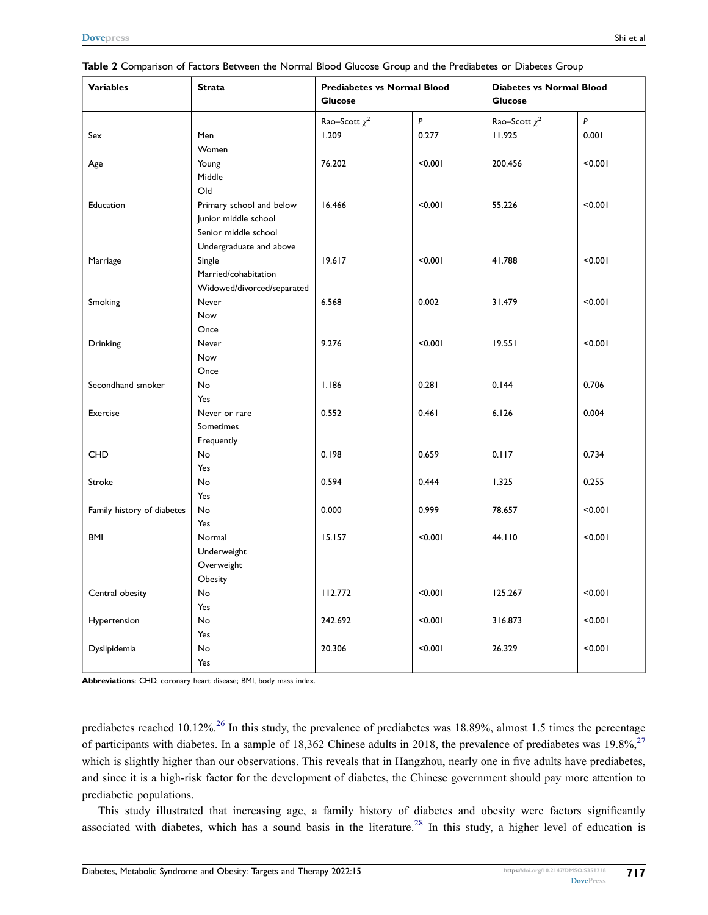| <b>Variables</b>           | <b>Strata</b>              | <b>Prediabetes vs Normal Blood</b><br><b>Glucose</b> |           | <b>Diabetes vs Normal Blood</b><br><b>Glucose</b> |         |
|----------------------------|----------------------------|------------------------------------------------------|-----------|---------------------------------------------------|---------|
|                            |                            |                                                      |           |                                                   |         |
|                            |                            | Rao-Scott $\chi^2$                                   | $\pmb{P}$ | Rao-Scott $\chi^2$                                | P       |
| Sex                        | Men                        | 1.209                                                | 0.277     | 11.925                                            | 0.001   |
|                            | Women                      |                                                      |           |                                                   |         |
| Age                        | Young                      | 76.202                                               | < 0.001   | 200.456                                           | < 0.001 |
|                            | Middle                     |                                                      |           |                                                   |         |
|                            | Old                        |                                                      |           |                                                   |         |
| Education                  | Primary school and below   | 16.466                                               | < 0.001   | 55.226                                            | < 0.001 |
|                            | Junior middle school       |                                                      |           |                                                   |         |
|                            | Senior middle school       |                                                      |           |                                                   |         |
|                            | Undergraduate and above    |                                                      |           |                                                   |         |
| Marriage                   | Single                     | 19.617                                               | < 0.001   | 41.788                                            | < 0.001 |
|                            | Married/cohabitation       |                                                      |           |                                                   |         |
|                            | Widowed/divorced/separated |                                                      |           |                                                   |         |
| Smoking                    | Never                      | 6.568                                                | 0.002     | 31.479                                            | < 0.001 |
|                            | Now                        |                                                      |           |                                                   |         |
|                            | Once                       |                                                      |           |                                                   |         |
| Drinking                   | Never                      | 9.276                                                | < 0.001   | 19.551                                            | < 0.001 |
|                            | Now                        |                                                      |           |                                                   |         |
|                            | Once                       |                                                      |           |                                                   |         |
| Secondhand smoker          | No                         | 1.186                                                | 0.281     | 0.144                                             | 0.706   |
|                            | Yes                        |                                                      |           |                                                   |         |
| Exercise                   | Never or rare              | 0.552                                                | 0.461     | 6.126                                             | 0.004   |
|                            | Sometimes                  |                                                      |           |                                                   |         |
|                            | Frequently                 |                                                      |           |                                                   |         |
| <b>CHD</b>                 | No                         | 0.198                                                | 0.659     | 0.117                                             | 0.734   |
|                            | Yes                        |                                                      |           |                                                   |         |
| Stroke                     | <b>No</b>                  | 0.594                                                | 0.444     | 1.325                                             | 0.255   |
|                            | Yes                        |                                                      |           |                                                   |         |
| Family history of diabetes | No                         | 0.000                                                | 0.999     | 78.657                                            | < 0.001 |
|                            | Yes                        |                                                      |           |                                                   |         |
| <b>BMI</b>                 | Normal                     | 15.157                                               | < 0.001   | 44.110                                            | < 0.001 |
|                            | Underweight                |                                                      |           |                                                   |         |
|                            | Overweight                 |                                                      |           |                                                   |         |
|                            | Obesity                    |                                                      |           |                                                   |         |
| Central obesity            | <b>No</b>                  | 112.772                                              | < 0.001   | 125.267                                           | < 0.001 |
|                            | Yes                        |                                                      |           |                                                   |         |
| Hypertension               | No                         | 242.692                                              | < 0.001   | 316.873                                           | < 0.001 |
|                            | Yes                        |                                                      |           |                                                   |         |
| Dyslipidemia               | No                         | 20.306                                               | < 0.001   | 26.329                                            | < 0.001 |
|                            | Yes                        |                                                      |           |                                                   |         |

<span id="page-4-0"></span>**Table 2** Comparison of Factors Between the Normal Blood Glucose Group and the Prediabetes or Diabetes Group

**Abbreviations**: CHD, coronary heart disease; BMI, body mass index.

<span id="page-4-2"></span><span id="page-4-1"></span>prediabetes reached 10.12%.<sup>[26](#page-8-4)</sup> In this study, the prevalence of prediabetes was 18.89%, almost 1.5 times the percentage of participants with diabetes. In a sample of 18,362 Chinese adults in 2018, the prevalence of prediabetes was 19.8%,<sup>[27](#page-8-5)</sup> which is slightly higher than our observations. This reveals that in Hangzhou, nearly one in five adults have prediabetes, and since it is a high-risk factor for the development of diabetes, the Chinese government should pay more attention to prediabetic populations.

<span id="page-4-3"></span>This study illustrated that increasing age, a family history of diabetes and obesity were factors significantly associated with diabetes, which has a sound basis in the literature.<sup>[28](#page-8-6)</sup> In this study, a higher level of education is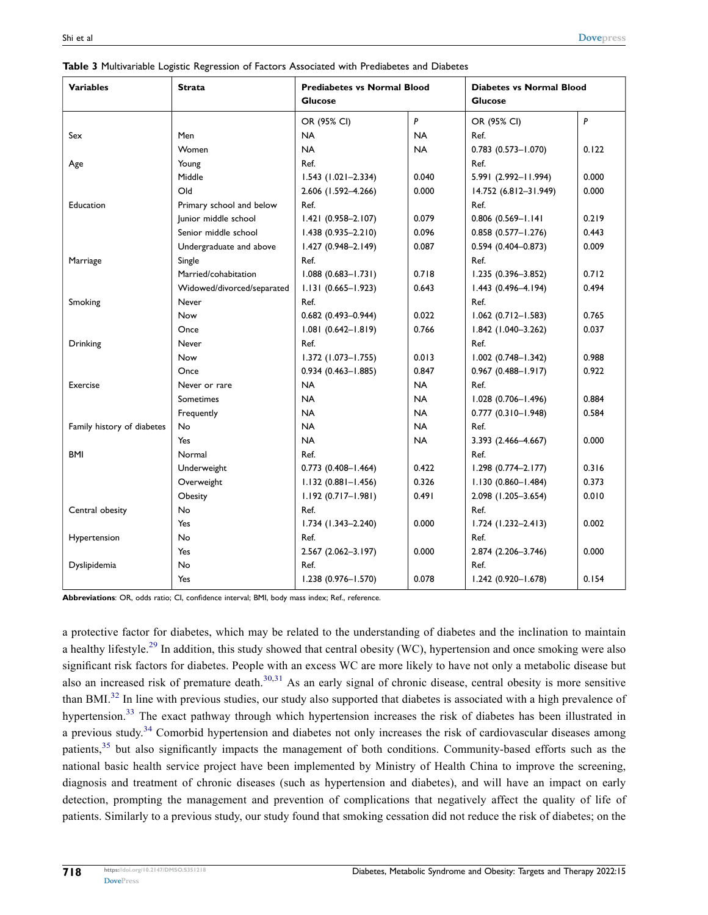| <b>Variables</b>           | <b>Strata</b>              | <b>Prediabetes vs Normal Blood</b> |           | <b>Diabetes vs Normal Blood</b> |       |
|----------------------------|----------------------------|------------------------------------|-----------|---------------------------------|-------|
|                            |                            | Glucose                            |           | <b>Glucose</b>                  |       |
|                            |                            | OR (95% CI)                        | P         | OR (95% CI)                     | P     |
| Sex                        | Men                        | <b>NA</b>                          | <b>NA</b> | Ref.                            |       |
|                            | Women                      | <b>NA</b>                          | <b>NA</b> | $0.783$ $(0.573 - 1.070)$       | 0.122 |
| Age                        | Young                      | Ref.                               |           | Ref.                            |       |
|                            | Middle                     | $1.543$ (1.021-2.334)              | 0.040     | 5.991 (2.992-11.994)            | 0.000 |
|                            | Old                        | 2.606 (1.592-4.266)                | 0.000     | 14.752 (6.812-31.949)           | 0.000 |
| Education                  | Primary school and below   | Ref.                               |           | Ref.                            |       |
|                            | Junior middle school       | $1.421(0.958 - 2.107)$             | 0.079     | 0.806 (0.569-1.141              | 0.219 |
|                            | Senior middle school       | $1.438(0.935 - 2.210)$             | 0.096     | $0.858$ $(0.577 - 1.276)$       | 0.443 |
|                            | Undergraduate and above    | 1.427 (0.948-2.149)                | 0.087     | $0.594(0.404 - 0.873)$          | 0.009 |
| Marriage                   | Single                     | Ref.                               |           | Ref.                            |       |
|                            | Married/cohabitation       | $1.088(0.683 - 1.731)$             | 0.718     | 1.235 (0.396-3.852)             | 0.712 |
|                            | Widowed/divorced/separated | $1.131(0.665 - 1.923)$             | 0.643     | 1.443 (0.496-4.194)             | 0.494 |
| Smoking                    | Never                      | Ref.                               |           | Ref.                            |       |
|                            | Now                        | $0.682$ (0.493-0.944)              | 0.022     | $1.062$ (0.712-1.583)           | 0.765 |
|                            | Once                       | $1.081 (0.642 - 1.819)$            | 0.766     | $1.842$ (1.040-3.262)           | 0.037 |
| Drinking                   | Never                      | Ref.                               |           | Ref.                            |       |
|                            | Now                        | 1.372 (1.073-1.755)                | 0.013     | $1.002$ $(0.748 - 1.342)$       | 0.988 |
|                            | Once                       | $0.934(0.463 - 1.885)$             | 0.847     | $0.967$ $(0.488 - 1.917)$       | 0.922 |
| Exercise                   | Never or rare              | <b>NA</b>                          | <b>NA</b> | Ref.                            |       |
|                            | Sometimes                  | <b>NA</b>                          | <b>NA</b> | 1.028 (0.706-1.496)             | 0.884 |
|                            | Frequently                 | <b>NA</b>                          | <b>NA</b> | $0.777$ $(0.310 - 1.948)$       | 0.584 |
| Family history of diabetes | <b>No</b>                  | <b>NA</b>                          | <b>NA</b> | Ref.                            |       |
|                            | Yes                        | <b>NA</b>                          | <b>NA</b> | 3.393 (2.466-4.667)             | 0.000 |
| <b>BMI</b>                 | Normal                     | Ref.                               |           | Ref.                            |       |
|                            | Underweight                | $0.773$ $(0.408 - 1.464)$          | 0.422     | 1.298 (0.774-2.177)             | 0.316 |
|                            | Overweight                 | $1.132(0.881 - 1.456)$             | 0.326     | $1.130(0.860 - 1.484)$          | 0.373 |
|                            | Obesity                    | $1.192(0.717 - 1.981)$             | 0.491     | 2.098 (1.205-3.654)             | 0.010 |
| Central obesity            | <b>No</b>                  | Ref.                               |           | Ref.                            |       |
|                            | Yes                        | 1.734 (1.343-2.240)                | 0.000     | $1.724$ (1.232-2.413)           | 0.002 |
| Hypertension               | No                         | Ref.                               |           | Ref.                            |       |
|                            | Yes.                       | 2.567 (2.062-3.197)                | 0.000     | 2.874 (2.206-3.746)             | 0.000 |
| Dyslipidemia               | No                         | Ref.                               |           | Ref.                            |       |
|                            | Yes                        | 1.238 (0.976-1.570)                | 0.078     | 1.242 (0.920-1.678)             | 0.154 |

<span id="page-5-0"></span>**Table 3** Multivariable Logistic Regression of Factors Associated with Prediabetes and Diabetes

**Abbreviations**: OR, odds ratio; CI, confidence interval; BMI, body mass index; Ref., reference.

<span id="page-5-6"></span><span id="page-5-5"></span><span id="page-5-4"></span><span id="page-5-3"></span><span id="page-5-2"></span><span id="page-5-1"></span>a protective factor for diabetes, which may be related to the understanding of diabetes and the inclination to maintain a healthy lifestyle.<sup>[29](#page-8-7)</sup> In addition, this study showed that central obesity (WC), hypertension and once smoking were also significant risk factors for diabetes. People with an excess WC are more likely to have not only a metabolic disease but also an increased risk of premature death.<sup>[30](#page-8-8)[,31](#page-8-9)</sup> As an early signal of chronic disease, central obesity is more sensitive than BMI.<sup>[32](#page-8-10)</sup> In line with previous studies, our study also supported that diabetes is associated with a high prevalence of hypertension.<sup>[33](#page-8-11)</sup> The exact pathway through which hypertension increases the risk of diabetes has been illustrated in a previous study.<sup>[34](#page-8-12)</sup> Comorbid hypertension and diabetes not only increases the risk of cardiovascular diseases among patients,<sup>[35](#page-8-13)</sup> but also significantly impacts the management of both conditions. Community-based efforts such as the national basic health service project have been implemented by Ministry of Health China to improve the screening, diagnosis and treatment of chronic diseases (such as hypertension and diabetes), and will have an impact on early detection, prompting the management and prevention of complications that negatively affect the quality of life of patients. Similarly to a previous study, our study found that smoking cessation did not reduce the risk of diabetes; on the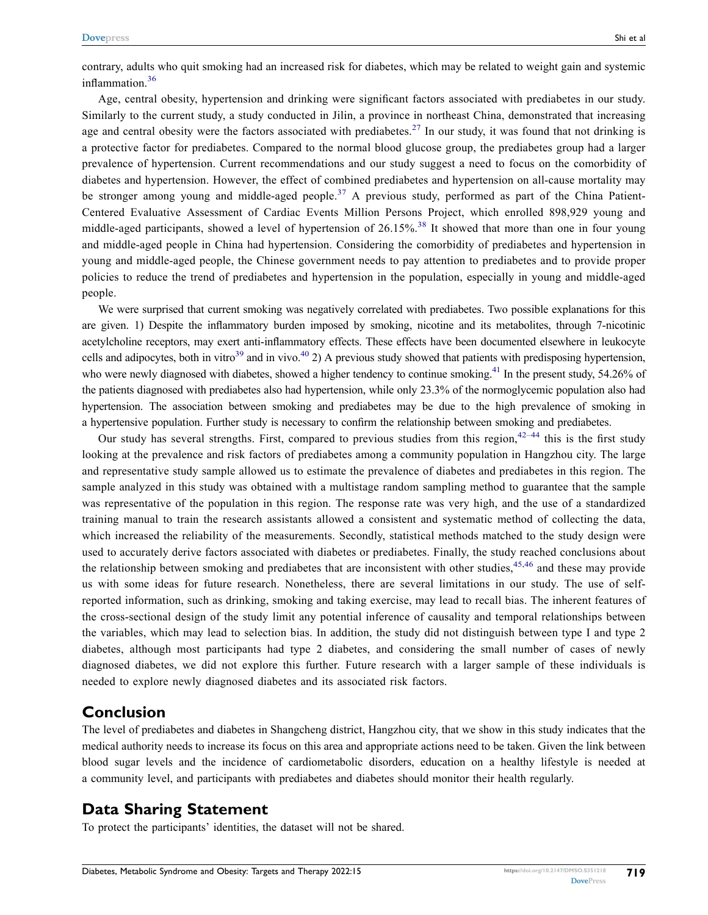<span id="page-6-0"></span>contrary, adults who quit smoking had an increased risk for diabetes, which may be related to weight gain and systemic inflammation.<sup>[36](#page-8-14)</sup>

<span id="page-6-1"></span>Age, central obesity, hypertension and drinking were significant factors associated with prediabetes in our study. Similarly to the current study, a study conducted in Jilin, a province in northeast China, demonstrated that increasing age and central obesity were the factors associated with prediabetes.<sup>[27](#page-8-5)</sup> In our study, it was found that not drinking is a protective factor for prediabetes. Compared to the normal blood glucose group, the prediabetes group had a larger prevalence of hypertension. Current recommendations and our study suggest a need to focus on the comorbidity of diabetes and hypertension. However, the effect of combined prediabetes and hypertension on all-cause mortality may be stronger among young and middle-aged people.<sup>[37](#page-8-15)</sup> A previous study, performed as part of the China Patient-Centered Evaluative Assessment of Cardiac Events Million Persons Project, which enrolled 898,929 young and middle-aged participants, showed a level of hypertension of  $26.15\%$ .<sup>[38](#page-8-16)</sup> It showed that more than one in four young and middle-aged people in China had hypertension. Considering the comorbidity of prediabetes and hypertension in young and middle-aged people, the Chinese government needs to pay attention to prediabetes and to provide proper policies to reduce the trend of prediabetes and hypertension in the population, especially in young and middle-aged people.

<span id="page-6-4"></span><span id="page-6-3"></span><span id="page-6-2"></span>We were surprised that current smoking was negatively correlated with prediabetes. Two possible explanations for this are given. 1) Despite the inflammatory burden imposed by smoking, nicotine and its metabolites, through 7-nicotinic acetylcholine receptors, may exert anti-inflammatory effects. These effects have been documented elsewhere in leukocyte cells and adipocytes, both in vitro<sup>39</sup> and in vivo.<sup>40</sup> 2) A previous study showed that patients with predisposing hypertension, who were newly diagnosed with diabetes, showed a higher tendency to continue smoking.<sup>[41](#page-8-19)</sup> In the present study,  $54.26\%$  of the patients diagnosed with prediabetes also had hypertension, while only 23.3% of the normoglycemic population also had hypertension. The association between smoking and prediabetes may be due to the high prevalence of smoking in a hypertensive population. Further study is necessary to confirm the relationship between smoking and prediabetes.

<span id="page-6-6"></span><span id="page-6-5"></span>Our study has several strengths. First, compared to previous studies from this region,  $42-44$  $42-44$  this is the first study looking at the prevalence and risk factors of prediabetes among a community population in Hangzhou city. The large and representative study sample allowed us to estimate the prevalence of diabetes and prediabetes in this region. The sample analyzed in this study was obtained with a multistage random sampling method to guarantee that the sample was representative of the population in this region. The response rate was very high, and the use of a standardized training manual to train the research assistants allowed a consistent and systematic method of collecting the data, which increased the reliability of the measurements. Secondly, statistical methods matched to the study design were used to accurately derive factors associated with diabetes or prediabetes. Finally, the study reached conclusions about the relationship between smoking and prediabetes that are inconsistent with other studies,  $45,46$  $45,46$  and these may provide us with some ideas for future research. Nonetheless, there are several limitations in our study. The use of selfreported information, such as drinking, smoking and taking exercise, may lead to recall bias. The inherent features of the cross-sectional design of the study limit any potential inference of causality and temporal relationships between the variables, which may lead to selection bias. In addition, the study did not distinguish between type I and type 2 diabetes, although most participants had type 2 diabetes, and considering the small number of cases of newly diagnosed diabetes, we did not explore this further. Future research with a larger sample of these individuals is needed to explore newly diagnosed diabetes and its associated risk factors.

#### **Conclusion**

The level of prediabetes and diabetes in Shangcheng district, Hangzhou city, that we show in this study indicates that the medical authority needs to increase its focus on this area and appropriate actions need to be taken. Given the link between blood sugar levels and the incidence of cardiometabolic disorders, education on a healthy lifestyle is needed at a community level, and participants with prediabetes and diabetes should monitor their health regularly.

#### **Data Sharing Statement**

To protect the participants' identities, the dataset will not be shared.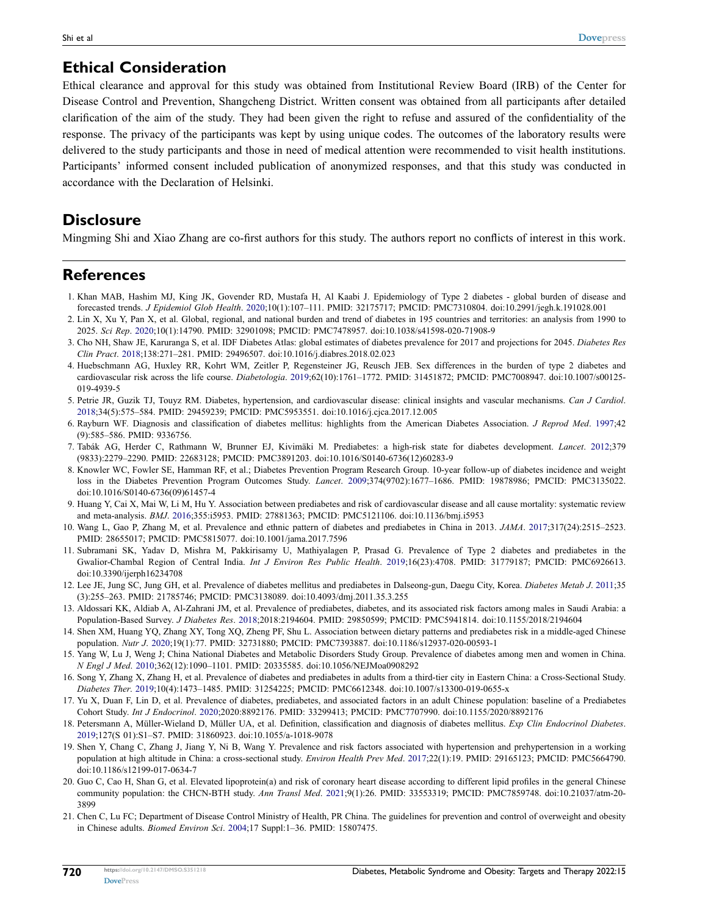### **Ethical Consideration**

Ethical clearance and approval for this study was obtained from Institutional Review Board (IRB) of the Center for Disease Control and Prevention, Shangcheng District. Written consent was obtained from all participants after detailed clarification of the aim of the study. They had been given the right to refuse and assured of the confidentiality of the response. The privacy of the participants was kept by using unique codes. The outcomes of the laboratory results were delivered to the study participants and those in need of medical attention were recommended to visit health institutions. Participants' informed consent included publication of anonymized responses, and that this study was conducted in accordance with the Declaration of Helsinki.

### **Disclosure**

Mingming Shi and Xiao Zhang are co-first authors for this study. The authors report no conflicts of interest in this work.

#### **References**

- <span id="page-7-0"></span>1. Khan MAB, Hashim MJ, King JK, Govender RD, Mustafa H, Al Kaabi J. Epidemiology of Type 2 diabetes - global burden of disease and forecasted trends. *J Epidemiol Glob Health*. [2020](#page-0-1);10(1):107–111. PMID: 32175717; PMCID: PMC7310804. doi:[10.2991/jegh.k.191028.001](https://doi.org/10.2991/jegh.k.191028.001)
- <span id="page-7-1"></span>2. Lin X, Xu Y, Pan X, et al. Global, regional, and national burden and trend of diabetes in 195 countries and territories: an analysis from 1990 to 2025. *Sci Rep*. [2020;](#page-0-1)10(1):14790. PMID: 32901098; PMCID: PMC7478957. doi:[10.1038/s41598-020-71908-9](https://doi.org/10.1038/s41598-020-71908-9)
- <span id="page-7-2"></span>3. Cho NH, Shaw JE, Karuranga S, et al. IDF Diabetes Atlas: global estimates of diabetes prevalence for 2017 and projections for 2045. *Diabetes Res Clin Pract*. [2018;](#page-0-2)138:271–281. PMID: 29496507. doi:[10.1016/j.diabres.2018.02.023](https://doi.org/10.1016/j.diabres.2018.02.023)
- <span id="page-7-3"></span>4. Huebschmann AG, Huxley RR, Kohrt WM, Zeitler P, Regensteiner JG, Reusch JEB. Sex differences in the burden of type 2 diabetes and cardiovascular risk across the life course. *Diabetologia*. [2019](#page-0-3);62(10):1761–1772. PMID: 31451872; PMCID: PMC7008947. doi:[10.1007/s00125-](https://doi.org/10.1007/s00125-019-4939-5) [019-4939-5](https://doi.org/10.1007/s00125-019-4939-5)
- <span id="page-7-4"></span>5. Petrie JR, Guzik TJ, Touyz RM. Diabetes, hypertension, and cardiovascular disease: clinical insights and vascular mechanisms. *Can J Cardiol*. [2018;](#page-0-3)34(5):575–584. PMID: 29459239; PMCID: PMC5953551. doi:[10.1016/j.cjca.2017.12.005](https://doi.org/10.1016/j.cjca.2017.12.005)
- <span id="page-7-5"></span>6. Rayburn WF. Diagnosis and classification of diabetes mellitus: highlights from the American Diabetes Association. *J Reprod Med*. [1997](#page-0-4);42 (9):585–586. PMID: 9336756.
- <span id="page-7-6"></span>7. Tabák AG, Herder C, Rathmann W, Brunner EJ, Kivimäki M. Prediabetes: a high-risk state for diabetes development. *Lancet*. [2012](#page-1-0);379 (9833):2279–2290. PMID: 22683128; PMCID: PMC3891203. doi:[10.1016/S0140-6736\(12\)60283-9](https://doi.org/10.1016/S0140-6736(12)60283-9)
- <span id="page-7-7"></span>8. Knowler WC, Fowler SE, Hamman RF, et al.; Diabetes Prevention Program Research Group. 10-year follow-up of diabetes incidence and weight loss in the Diabetes Prevention Program Outcomes Study. *Lancet*. [2009](#page-1-0);374(9702):1677–1686. PMID: 19878986; PMCID: PMC3135022. doi:[10.1016/S0140-6736\(09\)61457-4](https://doi.org/10.1016/S0140-6736(09)61457-4)
- <span id="page-7-8"></span>9. Huang Y, Cai X, Mai W, Li M, Hu Y. Association between prediabetes and risk of cardiovascular disease and all cause mortality: systematic review and meta-analysis. *BMJ*. [2016](#page-1-1);355:i5953. PMID: 27881363; PMCID: PMC5121106. doi:[10.1136/bmj.i5953](https://doi.org/10.1136/bmj.i5953)
- <span id="page-7-9"></span>10. Wang L, Gao P, Zhang M, et al. Prevalence and ethnic pattern of diabetes and prediabetes in China in 2013. *JAMA*. [2017;](#page-1-2)317(24):2515–2523. PMID: 28655017; PMCID: PMC5815077. doi:[10.1001/jama.2017.7596](https://doi.org/10.1001/jama.2017.7596)
- <span id="page-7-10"></span>11. Subramani SK, Yadav D, Mishra M, Pakkirisamy U, Mathiyalagen P, Prasad G. Prevalence of Type 2 diabetes and prediabetes in the Gwalior-Chambal Region of Central India. *Int J Environ Res Public Health*. [2019;](#page-1-2)16(23):4708. PMID: 31779187; PMCID: PMC6926613. doi:[10.3390/ijerph16234708](https://doi.org/10.3390/ijerph16234708)
- 12. Lee JE, Jung SC, Jung GH, et al. Prevalence of diabetes mellitus and prediabetes in Dalseong-gun, Daegu City, Korea. *Diabetes Metab J*. 2011;35 (3):255–263. PMID: 21785746; PMCID: PMC3138089. doi:[10.4093/dmj.2011.35.3.255](https://doi.org/10.4093/dmj.2011.35.3.255)
- <span id="page-7-11"></span>13. Aldossari KK, Aldiab A, Al-Zahrani JM, et al. Prevalence of prediabetes, diabetes, and its associated risk factors among males in Saudi Arabia: a Population-Based Survey. *J Diabetes Res*. 2018;2018:2194604. PMID: 29850599; PMCID: PMC5941814. doi:[10.1155/2018/2194604](https://doi.org/10.1155/2018/2194604)
- <span id="page-7-12"></span>14. Shen XM, Huang YQ, Zhang XY, Tong XQ, Zheng PF, Shu L. Association between dietary patterns and prediabetes risk in a middle-aged Chinese population. *Nutr J*. [2020](#page-1-3);19(1):77. PMID: 32731880; PMCID: PMC7393887. doi:[10.1186/s12937-020-00593-1](https://doi.org/10.1186/s12937-020-00593-1)
- 15. Yang W, Lu J, Weng J; China National Diabetes and Metabolic Disorders Study Group. Prevalence of diabetes among men and women in China. *N Engl J Med*. 2010;362(12):1090–1101. PMID: 20335585. doi:[10.1056/NEJMoa0908292](https://doi.org/10.1056/NEJMoa0908292)
- 16. Song Y, Zhang X, Zhang H, et al. Prevalence of diabetes and prediabetes in adults from a third-tier city in Eastern China: a Cross-Sectional Study. *Diabetes Ther*. 2019;10(4):1473–1485. PMID: 31254225; PMCID: PMC6612348. doi:[10.1007/s13300-019-0655-x](https://doi.org/10.1007/s13300-019-0655-x)
- <span id="page-7-13"></span>17. Yu X, Duan F, Lin D, et al. Prevalence of diabetes, prediabetes, and associated factors in an adult Chinese population: baseline of a Prediabetes Cohort Study. *Int J Endocrinol*. 2020;2020:8892176. PMID: 33299413; PMCID: PMC7707990. doi:[10.1155/2020/8892176](https://doi.org/10.1155/2020/8892176)
- <span id="page-7-14"></span>18. Petersmann A, Müller-Wieland D, Müller UA, et al. Definition, classification and diagnosis of diabetes mellitus. *Exp Clin Endocrinol Diabetes*. [2019;](#page-1-4)127(S 01):S1–S7. PMID: 31860923. doi:[10.1055/a-1018-9078](https://doi.org/10.1055/a-1018-9078)
- <span id="page-7-15"></span>19. Shen Y, Chang C, Zhang J, Jiang Y, Ni B, Wang Y. Prevalence and risk factors associated with hypertension and prehypertension in a working population at high altitude in China: a cross-sectional study. *Environ Health Prev Med*. [2017;](#page-1-5)22(1):19. PMID: 29165123; PMCID: PMC5664790. doi:[10.1186/s12199-017-0634-7](https://doi.org/10.1186/s12199-017-0634-7)
- <span id="page-7-16"></span>20. Guo C, Cao H, Shan G, et al. Elevated lipoprotein(a) and risk of coronary heart disease according to different lipid profiles in the general Chinese community population: the CHCN-BTH study. *Ann Transl Med*. [2021](#page-1-6);9(1):26. PMID: 33553319; PMCID: PMC7859748. doi:[10.21037/atm-20-](https://doi.org/10.21037/atm-20-3899) [3899](https://doi.org/10.21037/atm-20-3899)
- <span id="page-7-17"></span>21. Chen C, Lu FC; Department of Disease Control Ministry of Health, PR China. The guidelines for prevention and control of overweight and obesity in Chinese adults. *Biomed Environ Sci*. [2004](#page-1-7);17 Suppl:1–36. PMID: 15807475.